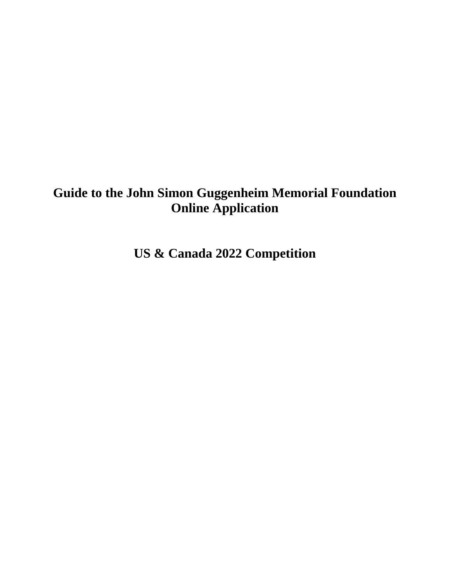# **Guide to the John Simon Guggenheim Memorial Foundation Online Application**

**US & Canada 2022 Competition**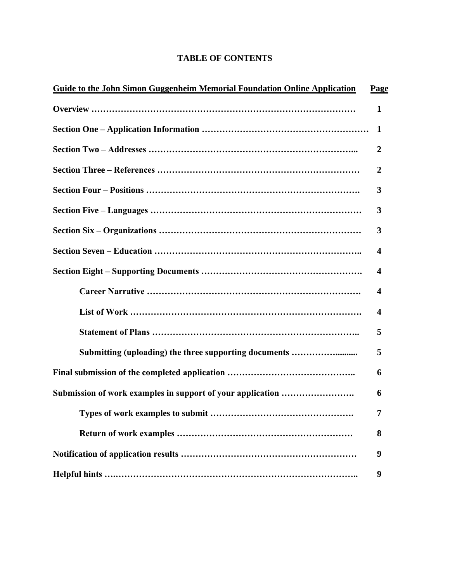# **TABLE OF CONTENTS**

| Guide to the John Simon Guggenheim Memorial Foundation Online Application | Page |
|---------------------------------------------------------------------------|------|
|                                                                           | 1    |
|                                                                           | 1    |
|                                                                           | 2    |
|                                                                           | 2    |
|                                                                           | 3    |
|                                                                           | 3    |
|                                                                           | 3    |
|                                                                           | 4    |
|                                                                           | 4    |
|                                                                           | 4    |
|                                                                           | 4    |
|                                                                           | 5    |
| Submitting (uploading) the three supporting documents                     | 5    |
|                                                                           | 6    |
|                                                                           | 6    |
| Types of work examples to submit                                          | 7    |
|                                                                           | 8    |
|                                                                           | 9    |
|                                                                           | 9    |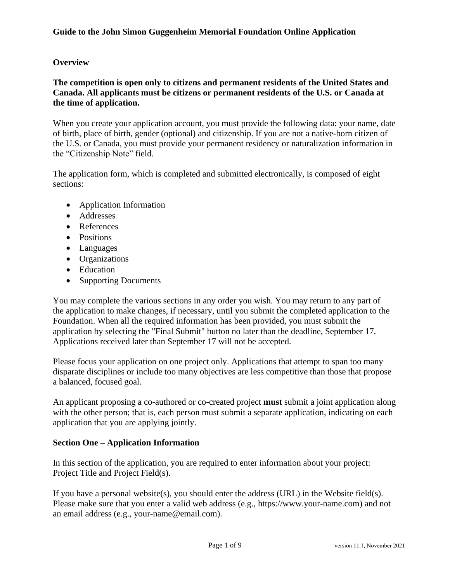# **Overview**

# **The competition is open only to citizens and permanent residents of the United States and Canada. All applicants must be citizens or permanent residents of the U.S. or Canada at the time of application.**

When you create your application account, you must provide the following data: your name, date of birth, place of birth, gender (optional) and citizenship. If you are not a native-born citizen of the U.S. or Canada, you must provide your permanent residency or naturalization information in the "Citizenship Note" field.

The application form, which is completed and submitted electronically, is composed of eight sections:

- Application Information
- Addresses
- References
- Positions
- Languages
- Organizations
- Education
- Supporting Documents

You may complete the various sections in any order you wish. You may return to any part of the application to make changes, if necessary, until you submit the completed application to the Foundation. When all the required information has been provided, you must submit the application by selecting the "Final Submit" button no later than the deadline, September 17. Applications received later than September 17 will not be accepted.

Please focus your application on one project only. Applications that attempt to span too many disparate disciplines or include too many objectives are less competitive than those that propose a balanced, focused goal.

An applicant proposing a co-authored or co-created project **must** submit a joint application along with the other person; that is, each person must submit a separate application, indicating on each application that you are applying jointly.

# **Section One – Application Information**

In this section of the application, you are required to enter information about your project: Project Title and Project Field(s).

If you have a personal website(s), you should enter the address (URL) in the Website field(s). Please make sure that you enter a valid web address (e.g., https://www.your-name.com) and not an email address (e.g., your-name@email.com).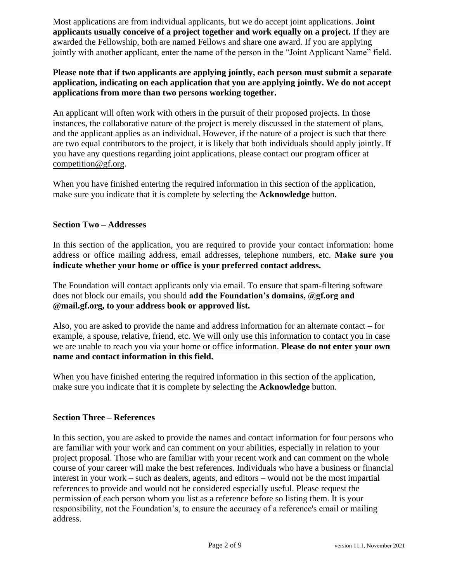Most applications are from individual applicants, but we do accept joint applications. **Joint applicants usually conceive of a project together and work equally on a project.** If they are awarded the Fellowship, both are named Fellows and share one award. If you are applying jointly with another applicant, enter the name of the person in the "Joint Applicant Name" field.

# **Please note that if two applicants are applying jointly, each person must submit a separate application, indicating on each application that you are applying jointly. We do not accept applications from more than two persons working together.**

An applicant will often work with others in the pursuit of their proposed projects. In those instances, the collaborative nature of the project is merely discussed in the statement of plans, and the applicant applies as an individual. However, if the nature of a project is such that there are two equal contributors to the project, it is likely that both individuals should apply jointly. If you have any questions regarding joint applications, please contact our program officer at [competition@gf.org.](mailto:competition@gf.org)

When you have finished entering the required information in this section of the application, make sure you indicate that it is complete by selecting the **Acknowledge** button.

# **Section Two – Addresses**

In this section of the application, you are required to provide your contact information: home address or office mailing address, email addresses, telephone numbers, etc. **Make sure you indicate whether your home or office is your preferred contact address.**

The Foundation will contact applicants only via email. To ensure that spam-filtering software does not block our emails, you should **add the Foundation's domains, @gf.org and @mail.gf.org, to your address book or approved list.**

Also, you are asked to provide the name and address information for an alternate contact – for example, a spouse, relative, friend, etc. We will only use this information to contact you in case we are unable to reach you via your home or office information. **Please do not enter your own name and contact information in this field.**

When you have finished entering the required information in this section of the application, make sure you indicate that it is complete by selecting the **Acknowledge** button.

# **Section Three – References**

In this section, you are asked to provide the names and contact information for four persons who are familiar with your work and can comment on your abilities, especially in relation to your project proposal. Those who are familiar with your recent work and can comment on the whole course of your career will make the best references. Individuals who have a business or financial interest in your work – such as dealers, agents, and editors – would not be the most impartial references to provide and would not be considered especially useful. Please request the permission of each person whom you list as a reference before so listing them. It is your responsibility, not the Foundation's, to ensure the accuracy of a reference's email or mailing address.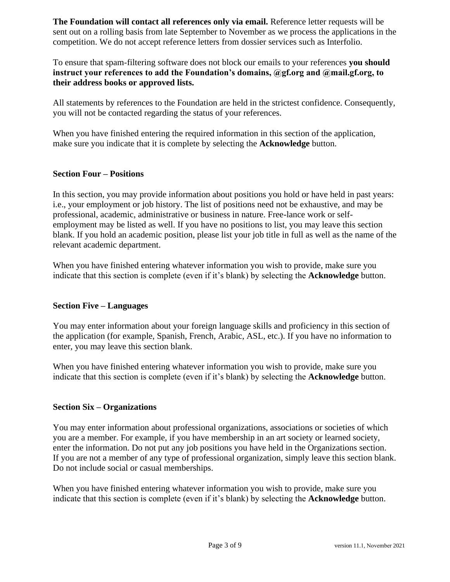**The Foundation will contact all references only via email.** Reference letter requests will be sent out on a rolling basis from late September to November as we process the applications in the competition. We do not accept reference letters from dossier services such as Interfolio.

To ensure that spam-filtering software does not block our emails to your references **you should instruct your references to add the Foundation's domains, @gf.org and @mail.gf.org, to their address books or approved lists.**

All statements by references to the Foundation are held in the strictest confidence. Consequently, you will not be contacted regarding the status of your references.

When you have finished entering the required information in this section of the application, make sure you indicate that it is complete by selecting the **Acknowledge** button.

# **Section Four – Positions**

In this section, you may provide information about positions you hold or have held in past years: i.e., your employment or job history. The list of positions need not be exhaustive, and may be professional, academic, administrative or business in nature. Free-lance work or selfemployment may be listed as well. If you have no positions to list, you may leave this section blank. If you hold an academic position, please list your job title in full as well as the name of the relevant academic department.

When you have finished entering whatever information you wish to provide, make sure you indicate that this section is complete (even if it's blank) by selecting the **Acknowledge** button.

#### **Section Five – Languages**

You may enter information about your foreign language skills and proficiency in this section of the application (for example, Spanish, French, Arabic, ASL, etc.). If you have no information to enter, you may leave this section blank.

When you have finished entering whatever information you wish to provide, make sure you indicate that this section is complete (even if it's blank) by selecting the **Acknowledge** button.

#### **Section Six – Organizations**

You may enter information about professional organizations, associations or societies of which you are a member. For example, if you have membership in an art society or learned society, enter the information. Do not put any job positions you have held in the Organizations section. If you are not a member of any type of professional organization, simply leave this section blank. Do not include social or casual memberships.

When you have finished entering whatever information you wish to provide, make sure you indicate that this section is complete (even if it's blank) by selecting the **Acknowledge** button.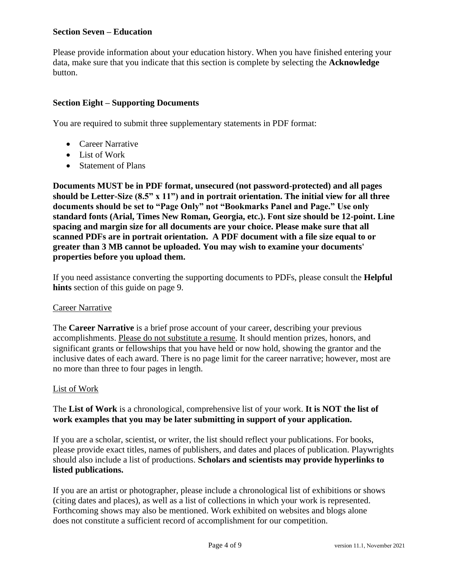# **Section Seven – Education**

Please provide information about your education history. When you have finished entering your data, make sure that you indicate that this section is complete by selecting the **Acknowledge** button.

#### **Section Eight – Supporting Documents**

You are required to submit three supplementary statements in PDF format:

- Career Narrative
- List of Work
- Statement of Plans

**Documents MUST be in PDF format, unsecured (not password-protected) and all pages should be Letter-Size (8.5" x 11") and in portrait orientation. The initial view for all three documents should be set to "Page Only" not "Bookmarks Panel and Page." Use only standard fonts (Arial, Times New Roman, Georgia, etc.). Font size should be 12-point. Line spacing and margin size for all documents are your choice. Please make sure that all scanned PDFs are in portrait orientation. A PDF document with a file size equal to or greater than 3 MB cannot be uploaded. You may wish to examine your documents' properties before you upload them.**

If you need assistance converting the supporting documents to PDFs, please consult the **Helpful hints** section of this guide on page 9.

#### Career Narrative

The **Career Narrative** is a brief prose account of your career, describing your previous accomplishments. Please do not substitute a resume. It should mention prizes, honors, and significant grants or fellowships that you have held or now hold, showing the grantor and the inclusive dates of each award. There is no page limit for the career narrative; however, most are no more than three to four pages in length.

#### List of Work

# The **List of Work** is a chronological, comprehensive list of your work. **It is NOT the list of work examples that you may be later submitting in support of your application.**

If you are a scholar, scientist, or writer, the list should reflect your publications. For books, please provide exact titles, names of publishers, and dates and places of publication. Playwrights should also include a list of productions. **Scholars and scientists may provide hyperlinks to listed publications.**

If you are an artist or photographer, please include a chronological list of exhibitions or shows (citing dates and places), as well as a list of collections in which your work is represented. Forthcoming shows may also be mentioned. Work exhibited on websites and blogs alone does not constitute a sufficient record of accomplishment for our competition.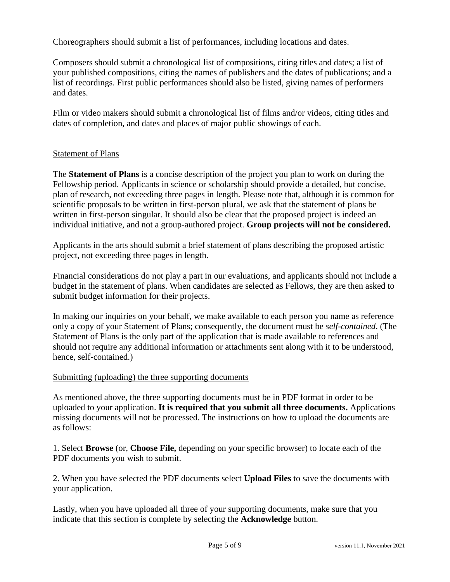Choreographers should submit a list of performances, including locations and dates.

Composers should submit a chronological list of compositions, citing titles and dates; a list of your published compositions, citing the names of publishers and the dates of publications; and a list of recordings. First public performances should also be listed, giving names of performers and dates.

Film or video makers should submit a chronological list of films and/or videos, citing titles and dates of completion, and dates and places of major public showings of each.

# **Statement of Plans**

The **Statement of Plans** is a concise description of the project you plan to work on during the Fellowship period. Applicants in science or scholarship should provide a detailed, but concise, plan of research, not exceeding three pages in length. Please note that, although it is common for scientific proposals to be written in first-person plural, we ask that the statement of plans be written in first-person singular. It should also be clear that the proposed project is indeed an individual initiative, and not a group-authored project. **Group projects will not be considered.**

Applicants in the arts should submit a brief statement of plans describing the proposed artistic project, not exceeding three pages in length.

Financial considerations do not play a part in our evaluations, and applicants should not include a budget in the statement of plans. When candidates are selected as Fellows, they are then asked to submit budget information for their projects.

In making our inquiries on your behalf, we make available to each person you name as reference only a copy of your Statement of Plans; consequently, the document must be *self-contained*. (The Statement of Plans is the only part of the application that is made available to references and should not require any additional information or attachments sent along with it to be understood, hence, self-contained.)

#### Submitting (uploading) the three supporting documents

As mentioned above, the three supporting documents must be in PDF format in order to be uploaded to your application. **It is required that you submit all three documents.** Applications missing documents will not be processed. The instructions on how to upload the documents are as follows:

1. Select **Browse** (or, **Choose File,** depending on your specific browser) to locate each of the PDF documents you wish to submit.

2. When you have selected the PDF documents select **Upload Files** to save the documents with your application.

Lastly, when you have uploaded all three of your supporting documents, make sure that you indicate that this section is complete by selecting the **Acknowledge** button.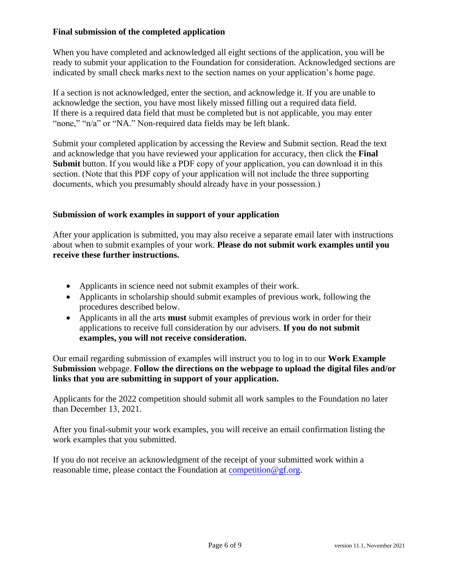# **Final submission of the completed application**

When you have completed and acknowledged all eight sections of the application, you will be ready to submit your application to the Foundation for consideration. Acknowledged sections are indicated by small check marks next to the section names on your application's home page.

If a section is not acknowledged, enter the section, and acknowledge it. If you are unable to acknowledge the section, you have most likely missed filling out a required data field. If there is a required data field that must be completed but is not applicable, you may enter "none," "n/a" or "NA." Non-required data fields may be left blank.

Submit your completed application by accessing the Review and Submit section. Read the text and acknowledge that you have reviewed your application for accuracy, then click the **Final Submit** button. If you would like a PDF copy of your application, you can download it in this section. (Note that this PDF copy of your application will not include the three supporting documents, which you presumably should already have in your possession.)

# **Submission of work examples in support of your application**

After your application is submitted, you may also receive a separate email later with instructions about when to submit examples of your work. **Please do not submit work examples until you receive these further instructions.**

- Applicants in science need not submit examples of their work.
- Applicants in scholarship should submit examples of previous work, following the procedures described below.
- Applicants in all the arts **must** submit examples of previous work in order for their applications to receive full consideration by our advisers. **If you do not submit examples, you will not receive consideration.**

Our email regarding submission of examples will instruct you to log in to our **Work Example Submission** webpage. **Follow the directions on the webpage to upload the digital files and/or links that you are submitting in support of your application.**

Applicants for the 2022 competition should submit all work samples to the Foundation no later than December 13, 2021.

After you final-submit your work examples, you will receive an email confirmation listing the work examples that you submitted.

If you do not receive an acknowledgment of the receipt of your submitted work within a reasonable time, please contact the Foundation at competition  $@gf.org$ .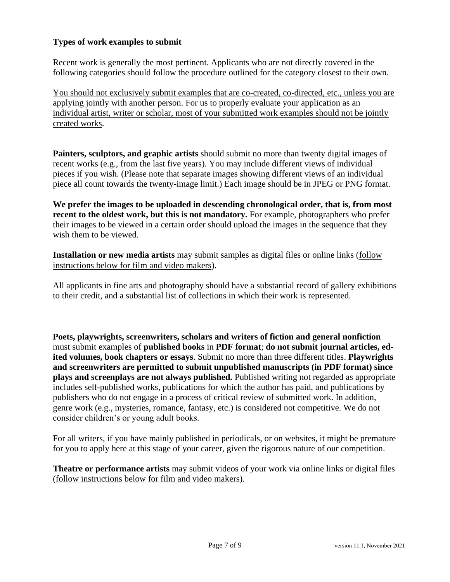# **Types of work examples to submit**

Recent work is generally the most pertinent. Applicants who are not directly covered in the following categories should follow the procedure outlined for the category closest to their own.

You should not exclusively submit examples that are co-created, co-directed, etc., unless you are applying jointly with another person. For us to properly evaluate your application as an individual artist, writer or scholar, most of your submitted work examples should not be jointly created works.

**Painters, sculptors, and graphic artists** should submit no more than twenty digital images of recent works (e.g., from the last five years). You may include different views of individual pieces if you wish. (Please note that separate images showing different views of an individual piece all count towards the twenty-image limit.) Each image should be in JPEG or PNG format.

**We prefer the images to be uploaded in descending chronological order, that is, from most recent to the oldest work, but this is not mandatory.** For example, photographers who prefer their images to be viewed in a certain order should upload the images in the sequence that they wish them to be viewed.

**Installation or new media artists** may submit samples as digital files or online links (follow instructions below for film and video makers).

All applicants in fine arts and photography should have a substantial record of gallery exhibitions to their credit, and a substantial list of collections in which their work is represented.

**Poets, playwrights, screenwriters, scholars and writers of fiction and general nonfiction** must submit examples of **published books** in **PDF format**; **do not submit journal articles, edited volumes, book chapters or essays**. Submit no more than three different titles. **Playwrights and screenwriters are permitted to submit unpublished manuscripts (in PDF format) since plays and screenplays are not always published.** Published writing not regarded as appropriate includes self-published works, publications for which the author has paid, and publications by publishers who do not engage in a process of critical review of submitted work. In addition, genre work (e.g., mysteries, romance, fantasy, etc.) is considered not competitive. We do not consider children's or young adult books.

For all writers, if you have mainly published in periodicals, or on websites, it might be premature for you to apply here at this stage of your career, given the rigorous nature of our competition.

**Theatre or performance artists** may submit videos of your work via online links or digital files (follow instructions below for film and video makers).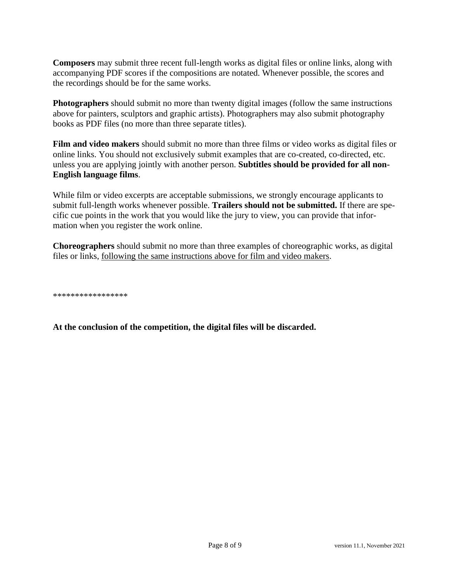**Composers** may submit three recent full-length works as digital files or online links, along with accompanying PDF scores if the compositions are notated. Whenever possible, the scores and the recordings should be for the same works.

**Photographers** should submit no more than twenty digital images (follow the same instructions above for painters, sculptors and graphic artists). Photographers may also submit photography books as PDF files (no more than three separate titles).

**Film and video makers** should submit no more than three films or video works as digital files or online links. You should not exclusively submit examples that are co-created, co-directed, etc. unless you are applying jointly with another person. **Subtitles should be provided for all non-English language films**.

While film or video excerpts are acceptable submissions, we strongly encourage applicants to submit full-length works whenever possible. **Trailers should not be submitted.** If there are specific cue points in the work that you would like the jury to view, you can provide that information when you register the work online.

**Choreographers** should submit no more than three examples of choreographic works, as digital files or links, following the same instructions above for film and video makers.

\*\*\*\*\*\*\*\*\*\*\*\*\*\*\*\*\*

**At the conclusion of the competition, the digital files will be discarded.**